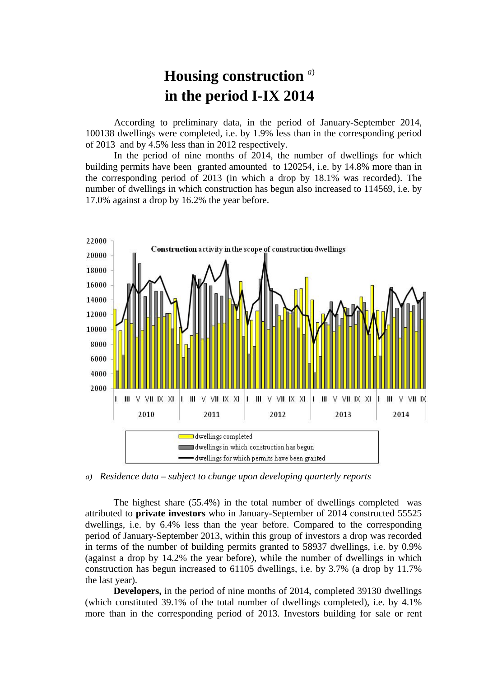## **Housing construction** *<sup>a</sup>*) **in the period I-IX 2014**

According to preliminary data, in the period of January-September 2014, 100138 dwellings were completed, i.e. by 1.9% less than in the corresponding period of 2013 and by 4.5% less than in 2012 respectively.

In the period of nine months of 2014, the number of dwellings for which building permits have been granted amounted to 120254, i.e. by 14.8% more than in the corresponding period of 2013 (in which a drop by 18.1% was recorded). The number of dwellings in which construction has begun also increased to 114569, i.e. by 17.0% against a drop by 16.2% the year before.



*a) Residence data – subject to change upon developing quarterly reports*

The highest share (55.4%) in the total number of dwellings completed was attributed to **private investors** who in January-September of 2014 constructed 55525 dwellings, i.e. by 6.4% less than the year before. Compared to the corresponding period of January-September 2013, within this group of investors a drop was recorded in terms of the number of building permits granted to 58937 dwellings, i.e. by 0.9% (against a drop by 14.2% the year before), while the number of dwellings in which construction has begun increased to 61105 dwellings, i.e. by 3.7% (a drop by 11.7% the last year).

**Developers,** in the period of nine months of 2014, completed 39130 dwellings (which constituted 39.1% of the total number of dwellings completed), i.e. by 4.1% more than in the corresponding period of 2013. Investors building for sale or rent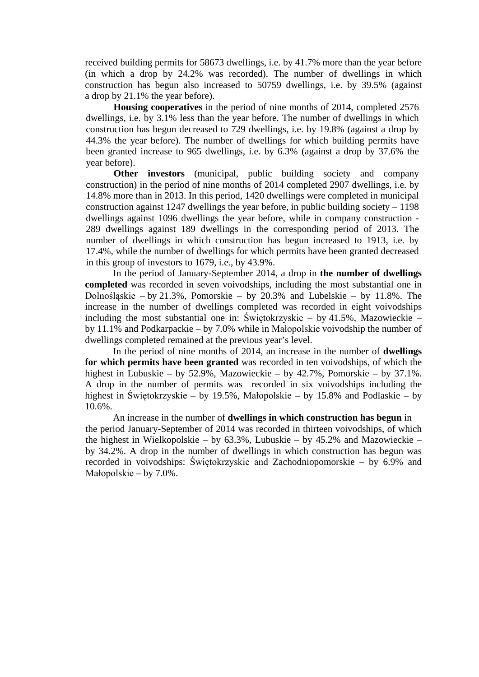received building permits for 58673 dwellings, i.e. by 41.7% more than the year before (in which a drop by 24.2% was recorded). The number of dwellings in which construction has begun also increased to 50759 dwellings, i.e. by 39.5% (against a drop by 21.1% the year before).

**Housing cooperatives** in the period of nine months of 2014, completed 2576 dwellings, i.e. by 3.1% less than the year before. The number of dwellings in which construction has begun decreased to 729 dwellings, i.e. by 19.8% (against a drop by 44.3% the year before). The number of dwellings for which building permits have been granted increase to 965 dwellings, i.e. by 6.3% (against a drop by 37.6% the year before).

**Other investors** (municipal, public building society and company construction) in the period of nine months of 2014 completed 2907 dwellings, i.e. by 14.8% more than in 2013. In this period, 1420 dwellings were completed in municipal construction against 1247 dwellings the year before, in public building society – 1198 dwellings against 1096 dwellings the year before, while in company construction - 289 dwellings against 189 dwellings in the corresponding period of 2013. The number of dwellings in which construction has begun increased to 1913, i.e. by 17.4%, while the number of dwellings for which permits have been granted decreased in this group of investors to 1679, i.e., by 43.9%.

In the period of January-September 2014, a drop in **the number of dwellings completed** was recorded in seven voivodships, including the most substantial one in Dolnośląskie – by 21.3%, Pomorskie – by 20.3% and Lubelskie – by 11.8%. The increase in the number of dwellings completed was recorded in eight voivodships including the most substantial one in: Świętokrzyskie – by 41.5%, Mazowieckie – by 11.1% and Podkarpackie – by 7.0% while in Małopolskie voivodship the number of dwellings completed remained at the previous year's level.

In the period of nine months of 2014, an increase in the number of **dwellings for which permits have been granted** was recorded in ten voivodships, of which the highest in Lubuskie – by 52.9%, Mazowieckie – by 42.7%, Pomorskie – by 37.1%. A drop in the number of permits was recorded in six voivodships including the highest in Świętokrzyskie – by 19.5%, Małopolskie – by 15.8% and Podlaskie – by 10.6%.

An increase in the number of **dwellings in which construction has begun** in the period January-September of 2014 was recorded in thirteen voivodships, of which the highest in Wielkopolskie – by  $63.3\%$ , Lubuskie – by  $45.2\%$  and Mazowieckie – by 34.2%. A drop in the number of dwellings in which construction has begun was recorded in voivodships: Świętokrzyskie and Zachodniopomorskie – by 6.9% and Małopolskie – by 7.0%.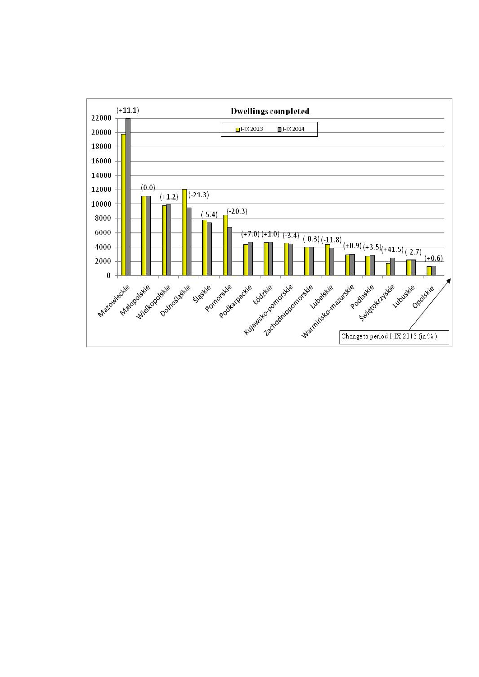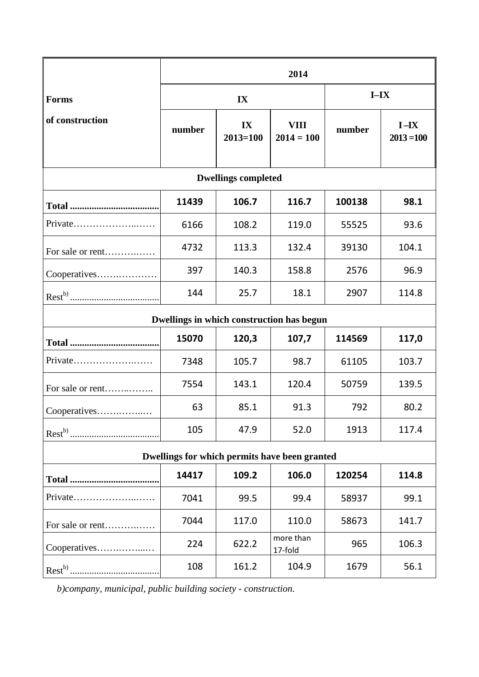|                                               | 2014   |                    |                             |        |                          |
|-----------------------------------------------|--------|--------------------|-----------------------------|--------|--------------------------|
| <b>Forms</b>                                  | IX     |                    |                             | $I-IX$ |                          |
| of construction                               | number | IX<br>$2013 = 100$ | <b>VIII</b><br>$2014 = 100$ | number | $I - IX$<br>$2013 = 100$ |
| <b>Dwellings completed</b>                    |        |                    |                             |        |                          |
|                                               | 11439  | 106.7              | 116.7                       | 100138 | 98.1                     |
| Private                                       | 6166   | 108.2              | 119.0                       | 55525  | 93.6                     |
| For sale or rent                              | 4732   | 113.3              | 132.4                       | 39130  | 104.1                    |
| Cooperatives                                  | 397    | 140.3              | 158.8                       | 2576   | 96.9                     |
|                                               | 144    | 25.7               | 18.1                        | 2907   | 114.8                    |
| Dwellings in which construction has begun     |        |                    |                             |        |                          |
|                                               | 15070  | 120,3              | 107,7                       | 114569 | 117,0                    |
| Private                                       | 7348   | 105.7              | 98.7                        | 61105  | 103.7                    |
| For sale or rent                              | 7554   | 143.1              | 120.4                       | 50759  | 139.5                    |
| Cooperatives                                  | 63     | 85.1               | 91.3                        | 792    | 80.2                     |
|                                               | 105    | 47.9               | 52.0                        | 1913   | 117.4                    |
| Dwellings for which permits have been granted |        |                    |                             |        |                          |
|                                               | 14417  | 109.2              | 106.0                       | 120254 | 114.8                    |
| Private                                       | 7041   | 99.5               | 99.4                        | 58937  | 99.1                     |
| For sale or rent                              | 7044   | 117.0              | 110.0                       | 58673  | 141.7                    |
| Cooperatives                                  | 224    | 622.2              | more than<br>17-fold        | 965    | 106.3                    |
|                                               | 108    | 161.2              | 104.9                       | 1679   | 56.1                     |

*b)company, municipal, public building society - construction.*